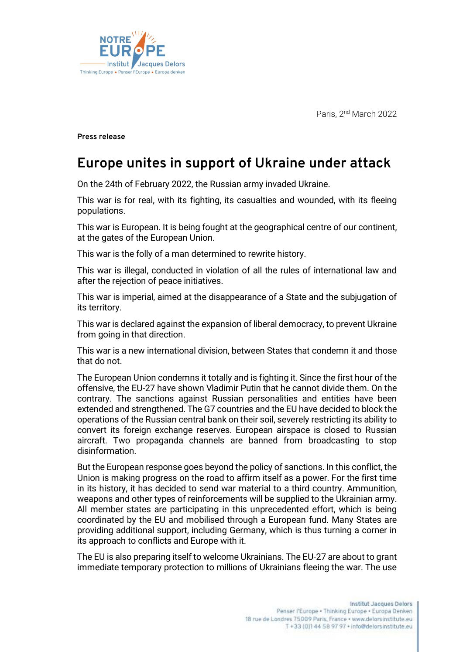*Paris, 2 nd March 2022*



**Press release** 

## **Europe unites in support of Ukraine under attack**

On the 24th of February 2022, the Russian army invaded Ukraine.

This war is for real, with its fighting, its casualties and wounded, with its fleeing populations.

This war is European. It is being fought at the geographical centre of our continent, at the gates of the European Union.

This war is the folly of a man determined to rewrite history.

This war is illegal, conducted in violation of all the rules of international law and after the rejection of peace initiatives.

This war is imperial, aimed at the disappearance of a State and the subjugation of its territory.

This war is declared against the expansion of liberal democracy, to prevent Ukraine from going in that direction.

This war is a new international division, between States that condemn it and those that do not.

The European Union condemns it totally and is fighting it. Since the first hour of the offensive, the EU-27 have shown Vladimir Putin that he cannot divide them. On the contrary. The sanctions against Russian personalities and entities have been extended and strengthened. The G7 countries and the EU have decided to block the operations of the Russian central bank on their soil, severely restricting its ability to convert its foreign exchange reserves. European airspace is closed to Russian aircraft. Two propaganda channels are banned from broadcasting to stop disinformation.

But the European response goes beyond the policy of sanctions. In this conflict, the Union is making progress on the road to affirm itself as a power. For the first time in its history, it has decided to send war material to a third country. Ammunition, weapons and other types of reinforcements will be supplied to the Ukrainian army. All member states are participating in this unprecedented effort, which is being coordinated by the EU and mobilised through a European fund. Many States are providing additional support, including Germany, which is thus turning a corner in its approach to conflicts and Europe with it.

The EU is also preparing itself to welcome Ukrainians. The EU-27 are about to grant immediate temporary protection to millions of Ukrainians fleeing the war. The use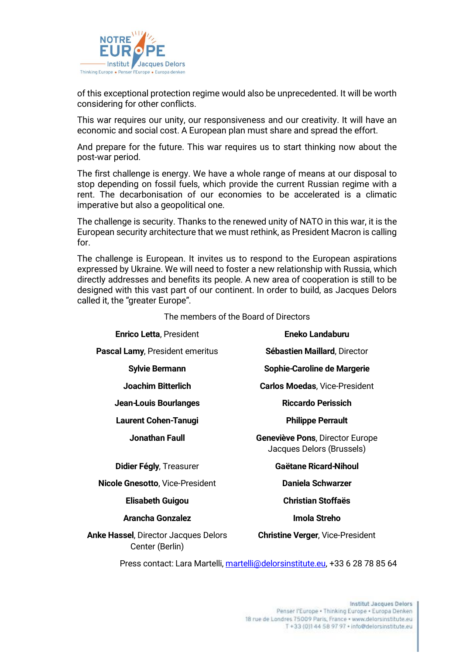

of this exceptional protection regime would also be unprecedented. It will be worth considering for other conflicts.

This war requires our unity, our responsiveness and our creativity. It will have an economic and social cost. A European plan must share and spread the effort.

And prepare for the future. This war requires us to start thinking now about the post-war period.

The first challenge is energy. We have a whole range of means at our disposal to stop depending on fossil fuels, which provide the current Russian regime with a rent. The decarbonisation of our economies to be accelerated is a climatic imperative but also a geopolitical one.

The challenge is security. Thanks to the renewed unity of NATO in this war, it is the European security architecture that we must rethink, as President Macron is calling for.

The challenge is European. It invites us to respond to the European aspirations expressed by Ukraine. We will need to foster a new relationship with Russia, which directly addresses and benefits its people. A new area of cooperation is still to be designed with this vast part of our continent. In order to build, as Jacques Delors called it, the "greater Europe".

The members of the Board of Directors

| <b>Enrico Letta, President</b>                                  | <b>Eneko Landaburu</b>                                              |
|-----------------------------------------------------------------|---------------------------------------------------------------------|
| <b>Pascal Lamy, President emeritus</b>                          | Sébastien Maillard, Director                                        |
| <b>Sylvie Bermann</b>                                           | Sophie-Caroline de Margerie                                         |
| Joachim Bitterlich                                              | <b>Carlos Moedas, Vice-President</b>                                |
| Jean-Louis Bourlanges                                           | Riccardo Perissich                                                  |
| <b>Laurent Cohen-Tanugi</b>                                     | <b>Philippe Perrault</b>                                            |
| Jonathan Faull                                                  | <b>Geneviève Pons, Director Europe</b><br>Jacques Delors (Brussels) |
| Didier Fégly, Treasurer                                         | <b>Gaëtane Ricard-Nihoul</b>                                        |
| <b>Nicole Gnesotto, Vice-President</b>                          | Daniela Schwarzer                                                   |
| <b>Elisabeth Guigou</b>                                         | <b>Christian Stoffaës</b>                                           |
| Arancha Gonzalez                                                | Imola Streho                                                        |
| <b>Anke Hassel</b> , Director Jacques Delors<br>Center (Berlin) | <b>Christine Verger, Vice-President</b>                             |

Press contact: Lara Martelli, [martelli@delorsinstitute.eu,](mailto:martelli@delorsinstitute.eu) +33 6 28 78 85 64